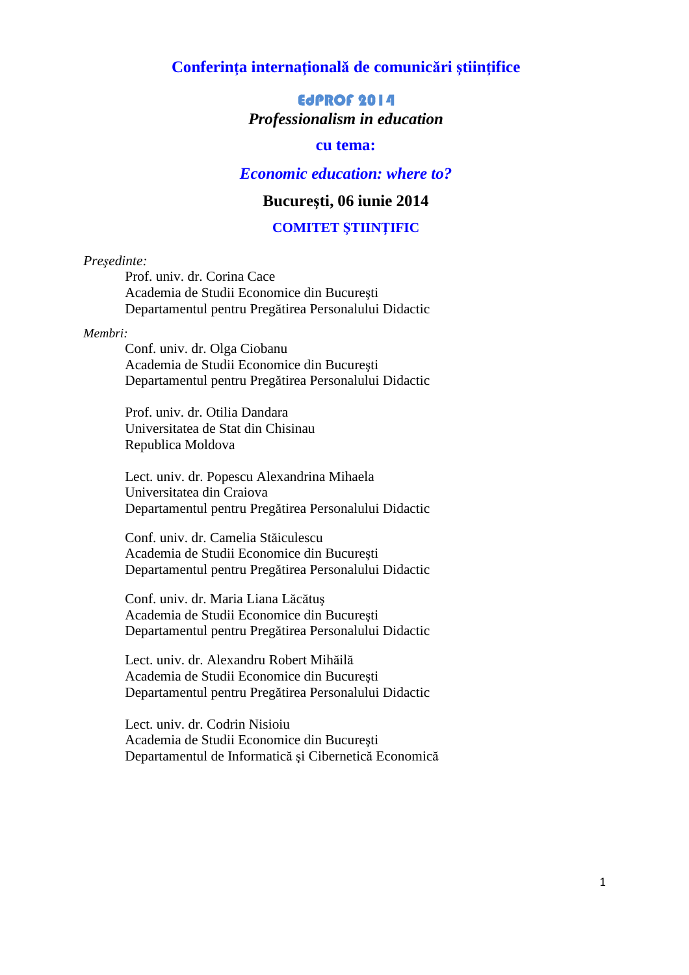## **Conferinţa internaţională de comunicări ştiinţifice**

# EdPROF 2014 *Professionalism in education*

# **cu tema:**

# *Economic education: where to?*

# **Bucureşti, 06 iunie 2014**

#### **COMITET ŞTIINŢIFIC**

#### *Preşedinte:*

Prof. univ. dr. Corina Cace Academia de Studii Economice din Bucureşti Departamentul pentru Pregătirea Personalului Didactic

#### *Membri:*

Conf. univ. dr. Olga Ciobanu Academia de Studii Economice din Bucureşti Departamentul pentru Pregătirea Personalului Didactic

Prof. univ. dr. Otilia Dandara Universitatea de Stat din Chisinau Republica Moldova

Lect. univ. dr. Popescu Alexandrina Mihaela Universitatea din Craiova Departamentul pentru Pregătirea Personalului Didactic

Conf. univ. dr. Camelia Stăiculescu Academia de Studii Economice din Bucureşti Departamentul pentru Pregătirea Personalului Didactic

Conf. univ. dr. Maria Liana Lăcătuş Academia de Studii Economice din Bucureşti Departamentul pentru Pregătirea Personalului Didactic

Lect. univ. dr. Alexandru Robert Mihăilă Academia de Studii Economice din Bucureşti Departamentul pentru Pregătirea Personalului Didactic

Lect. univ. dr. Codrin Nisioiu Academia de Studii Economice din Bucureşti Departamentul de Informatică şi Cibernetică Economică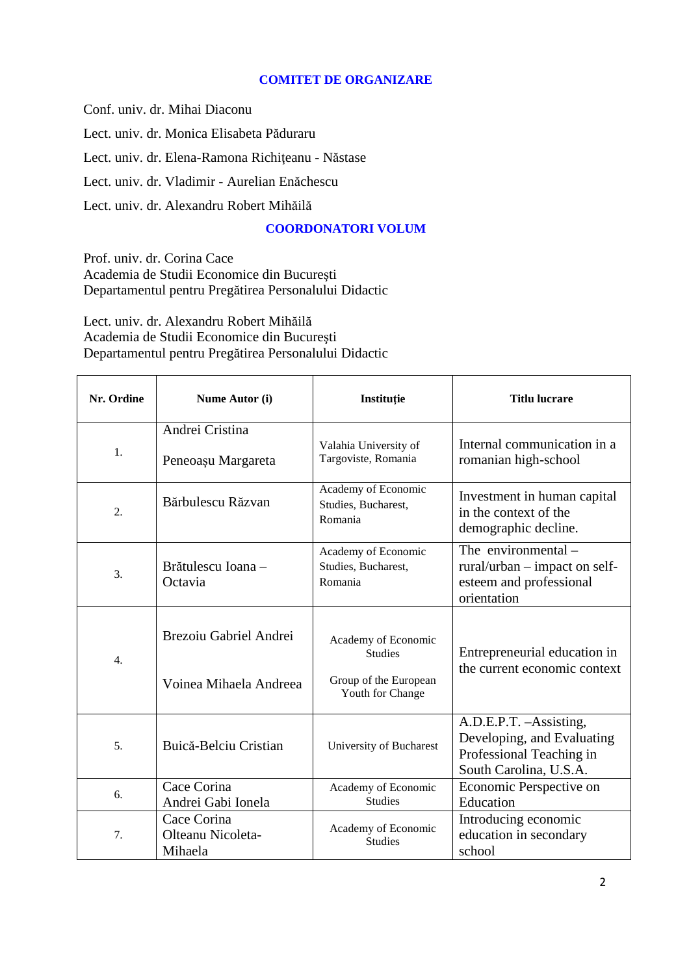#### **COMITET DE ORGANIZARE**

Conf. univ. dr. Mihai Diaconu Lect. univ. dr. Monica Elisabeta Păduraru Lect. univ. dr. Elena-Ramona Richiţeanu - Năstase Lect. univ. dr. Vladimir - Aurelian Enăchescu Lect. univ. dr. Alexandru Robert Mihăilă

### **COORDONATORI VOLUM**

Prof. univ. dr. Corina Cace Academia de Studii Economice din Bucureşti Departamentul pentru Pregătirea Personalului Didactic

Lect. univ. dr. Alexandru Robert Mihăilă Academia de Studii Economice din Bucureşti Departamentul pentru Pregătirea Personalului Didactic

| Nr. Ordine       | Nume Autor (i)                              | Instituție                                            | <b>Titlu lucrare</b>                                                                                        |
|------------------|---------------------------------------------|-------------------------------------------------------|-------------------------------------------------------------------------------------------------------------|
| 1.               | Andrei Cristina<br>Peneoașu Margareta       | Valahia University of<br>Targoviste, Romania          | Internal communication in a<br>romanian high-school                                                         |
| 2.               | Bărbulescu Răzvan                           | Academy of Economic<br>Studies, Bucharest,<br>Romania | Investment in human capital<br>in the context of the<br>demographic decline.                                |
| 3.               | Brătulescu Ioana -<br>Octavia               | Academy of Economic<br>Studies, Bucharest,<br>Romania | The environmental $-$<br>$rural/urban - impact on self$<br>esteem and professional<br>orientation           |
| $\overline{4}$ . | Brezoiu Gabriel Andrei                      | Academy of Economic<br><b>Studies</b>                 | Entrepreneurial education in<br>the current economic context                                                |
|                  | Voinea Mihaela Andreea                      | Group of the European<br>Youth for Change             |                                                                                                             |
| 5.               | Buică-Belciu Cristian                       | University of Bucharest                               | A.D.E.P.T. - Assisting,<br>Developing, and Evaluating<br>Professional Teaching in<br>South Carolina, U.S.A. |
| 6.               | Cace Corina<br>Andrei Gabi Ionela           | Academy of Economic<br><b>Studies</b>                 | Economic Perspective on<br>Education                                                                        |
| 7.               | Cace Corina<br>Olteanu Nicoleta-<br>Mihaela | Academy of Economic<br><b>Studies</b>                 | Introducing economic<br>education in secondary<br>school                                                    |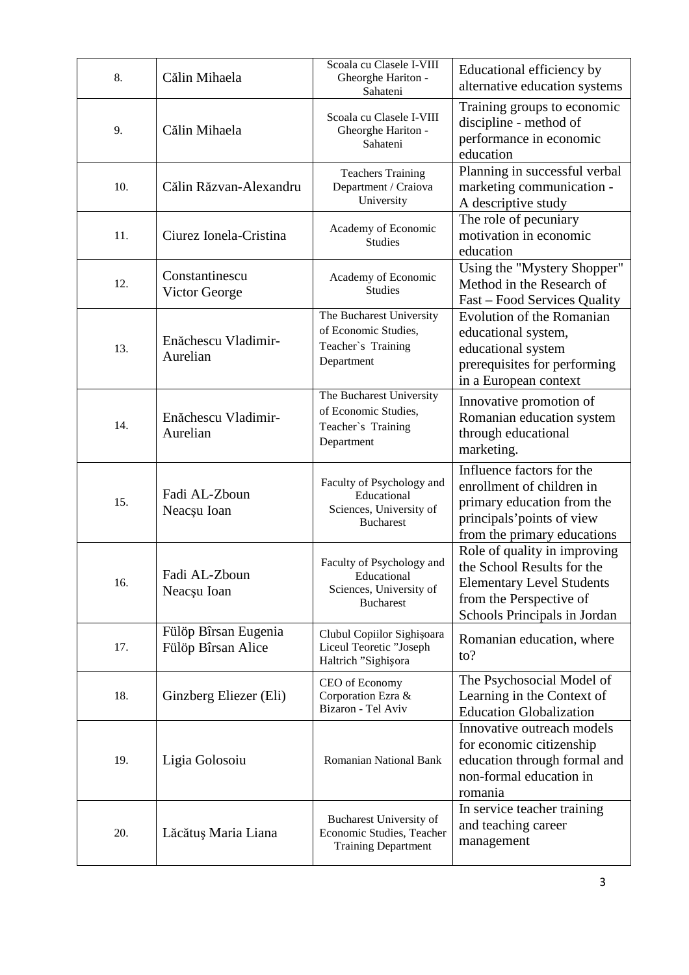| 8.  | Călin Mihaela                              | Scoala cu Clasele I-VIII<br>Gheorghe Hariton -<br>Sahateni                              | Educational efficiency by<br>alternative education systems                                                                                                |
|-----|--------------------------------------------|-----------------------------------------------------------------------------------------|-----------------------------------------------------------------------------------------------------------------------------------------------------------|
| 9.  | Călin Mihaela                              | Scoala cu Clasele I-VIII<br>Gheorghe Hariton -<br>Sahateni                              | Training groups to economic<br>discipline - method of<br>performance in economic<br>education                                                             |
| 10. | Călin Răzvan-Alexandru                     | <b>Teachers Training</b><br>Department / Craiova<br>University                          | Planning in successful verbal<br>marketing communication -<br>A descriptive study                                                                         |
| 11. | Ciurez Ionela-Cristina                     | Academy of Economic<br><b>Studies</b>                                                   | The role of pecuniary<br>motivation in economic<br>education                                                                                              |
| 12. | Constantinescu<br>Victor George            | Academy of Economic<br><b>Studies</b>                                                   | Using the "Mystery Shopper"<br>Method in the Research of<br>Fast – Food Services Quality                                                                  |
| 13. | Enăchescu Vladimir-<br>Aurelian            | The Bucharest University<br>of Economic Studies,<br>Teacher's Training<br>Department    | Evolution of the Romanian<br>educational system,<br>educational system<br>prerequisites for performing<br>in a European context                           |
| 14. | Enăchescu Vladimir-<br>Aurelian            | The Bucharest University<br>of Economic Studies,<br>Teacher's Training<br>Department    | Innovative promotion of<br>Romanian education system<br>through educational<br>marketing.                                                                 |
| 15. | Fadi AL-Zboun<br>Neacșu Ioan               | Faculty of Psychology and<br>Educational<br>Sciences, University of<br><b>Bucharest</b> | Influence factors for the<br>enrollment of children in<br>primary education from the<br>principals' points of view<br>from the primary educations         |
| 16. | Fadi AL-Zboun<br>Neacsu Ioan               | Faculty of Psychology and<br>Educational<br>Sciences, University of<br><b>Bucharest</b> | Role of quality in improving<br>the School Results for the<br><b>Elementary Level Students</b><br>from the Perspective of<br>Schools Principals in Jordan |
| 17. | Fülöp Bîrsan Eugenia<br>Fülöp Bîrsan Alice | Clubul Copiilor Sighișoara<br>Liceul Teoretic "Joseph<br>Haltrich "Sighișora            | Romanian education, where<br>$\mathfrak{to}?$                                                                                                             |
| 18. | Ginzberg Eliezer (Eli)                     | CEO of Economy<br>Corporation Ezra &<br>Bizaron - Tel Aviv                              | The Psychosocial Model of<br>Learning in the Context of<br><b>Education Globalization</b>                                                                 |
| 19. | Ligia Golosoiu                             | <b>Romanian National Bank</b>                                                           | Innovative outreach models<br>for economic citizenship<br>education through formal and<br>non-formal education in<br>romania                              |
| 20. | Lăcătuș Maria Liana                        | Bucharest University of<br>Economic Studies, Teacher<br><b>Training Department</b>      | In service teacher training<br>and teaching career<br>management                                                                                          |